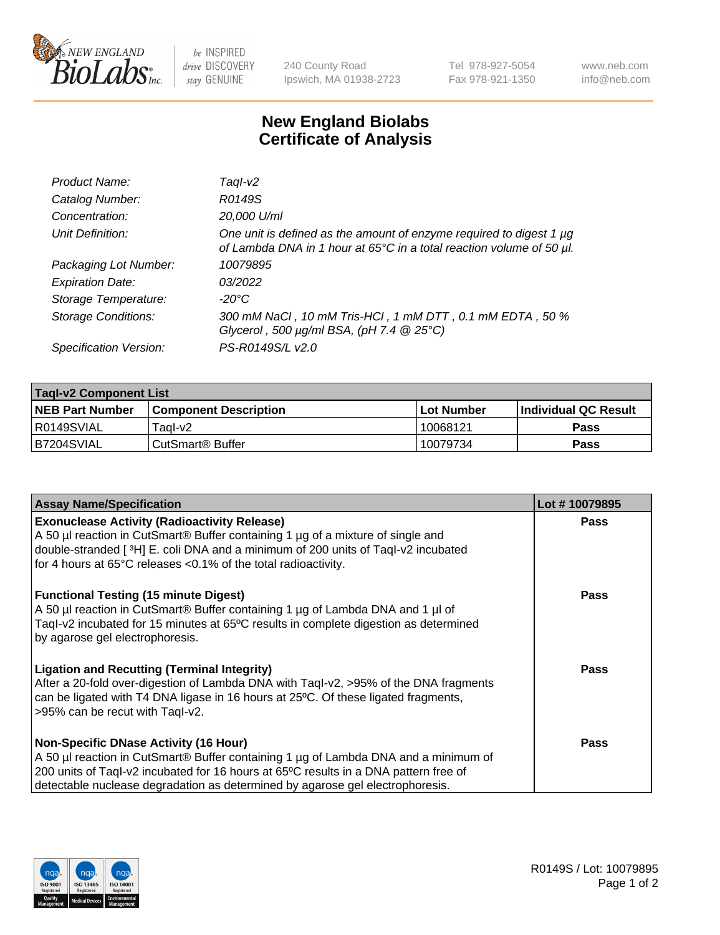

 $be$  INSPIRED drive DISCOVERY stay GENUINE

240 County Road Ipswich, MA 01938-2723 Tel 978-927-5054 Fax 978-921-1350 www.neb.com info@neb.com

## **New England Biolabs Certificate of Analysis**

| Product Name:              | Taql-v2                                                                                                                                                    |
|----------------------------|------------------------------------------------------------------------------------------------------------------------------------------------------------|
| Catalog Number:            | R0149S                                                                                                                                                     |
| Concentration:             | 20,000 U/ml                                                                                                                                                |
| Unit Definition:           | One unit is defined as the amount of enzyme required to digest 1 µg<br>of Lambda DNA in 1 hour at 65 $\degree$ C in a total reaction volume of 50 $\mu$ l. |
| Packaging Lot Number:      | 10079895                                                                                                                                                   |
| <b>Expiration Date:</b>    | 03/2022                                                                                                                                                    |
| Storage Temperature:       | -20°C                                                                                                                                                      |
| <b>Storage Conditions:</b> | 300 mM NaCl, 10 mM Tris-HCl, 1 mM DTT, 0.1 mM EDTA, 50 %<br>Glycerol, 500 $\mu$ g/ml BSA, (pH 7.4 $@$ 25°C)                                                |
| Specification Version:     | PS-R0149S/L v2.0                                                                                                                                           |

| <b>Tagl-v2 Component List</b> |                         |              |                             |  |  |
|-------------------------------|-------------------------|--------------|-----------------------------|--|--|
| <b>NEB Part Number</b>        | l Component Description | l Lot Number | <b>Individual QC Result</b> |  |  |
| I R0149SVIAL                  | Taal-v2                 | 10068121     | Pass                        |  |  |
| IB7204SVIAL                   | l CutSmart® Buffer      | 10079734     | Pass                        |  |  |

| <b>Assay Name/Specification</b>                                                                                                                                                                                                                                                                              | Lot #10079895 |
|--------------------------------------------------------------------------------------------------------------------------------------------------------------------------------------------------------------------------------------------------------------------------------------------------------------|---------------|
| <b>Exonuclease Activity (Radioactivity Release)</b><br>A 50 µl reaction in CutSmart® Buffer containing 1 µg of a mixture of single and<br>double-stranded [3H] E. coli DNA and a minimum of 200 units of Taql-v2 incubated<br>for 4 hours at 65°C releases <0.1% of the total radioactivity.                 | <b>Pass</b>   |
| <b>Functional Testing (15 minute Digest)</b><br>A 50 µl reaction in CutSmart® Buffer containing 1 µg of Lambda DNA and 1 µl of<br>Tagl-v2 incubated for 15 minutes at 65°C results in complete digestion as determined<br>by agarose gel electrophoresis.                                                    | Pass          |
| <b>Ligation and Recutting (Terminal Integrity)</b><br>After a 20-fold over-digestion of Lambda DNA with Taql-v2, >95% of the DNA fragments<br>can be ligated with T4 DNA ligase in 16 hours at 25°C. Of these ligated fragments,<br>>95% can be recut with Taql-v2.                                          | Pass          |
| <b>Non-Specific DNase Activity (16 Hour)</b><br>A 50 µl reaction in CutSmart® Buffer containing 1 µg of Lambda DNA and a minimum of<br>200 units of Taql-v2 incubated for 16 hours at 65°C results in a DNA pattern free of<br>detectable nuclease degradation as determined by agarose gel electrophoresis. | Pass          |